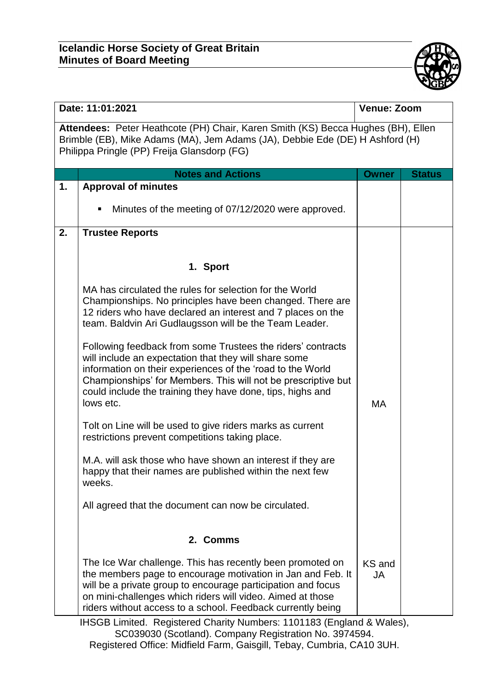

| Date: 11:01:2021                                                                                                                                                                                                |                                                                                                                                                                                                                                                                                                                                                                                                                                                                                                                                                                                                                                                                                                                                                                                                                                                                                            | <b>Venue: Zoom</b>  |               |  |
|-----------------------------------------------------------------------------------------------------------------------------------------------------------------------------------------------------------------|--------------------------------------------------------------------------------------------------------------------------------------------------------------------------------------------------------------------------------------------------------------------------------------------------------------------------------------------------------------------------------------------------------------------------------------------------------------------------------------------------------------------------------------------------------------------------------------------------------------------------------------------------------------------------------------------------------------------------------------------------------------------------------------------------------------------------------------------------------------------------------------------|---------------------|---------------|--|
| Attendees: Peter Heathcote (PH) Chair, Karen Smith (KS) Becca Hughes (BH), Ellen<br>Brimble (EB), Mike Adams (MA), Jem Adams (JA), Debbie Ede (DE) H Ashford (H)<br>Philippa Pringle (PP) Freija Glansdorp (FG) |                                                                                                                                                                                                                                                                                                                                                                                                                                                                                                                                                                                                                                                                                                                                                                                                                                                                                            |                     |               |  |
|                                                                                                                                                                                                                 | <b>Notes and Actions</b>                                                                                                                                                                                                                                                                                                                                                                                                                                                                                                                                                                                                                                                                                                                                                                                                                                                                   | <b>Owner</b>        | <b>Status</b> |  |
| 1.                                                                                                                                                                                                              | <b>Approval of minutes</b>                                                                                                                                                                                                                                                                                                                                                                                                                                                                                                                                                                                                                                                                                                                                                                                                                                                                 |                     |               |  |
|                                                                                                                                                                                                                 | Minutes of the meeting of 07/12/2020 were approved.<br>п                                                                                                                                                                                                                                                                                                                                                                                                                                                                                                                                                                                                                                                                                                                                                                                                                                   |                     |               |  |
| 2.                                                                                                                                                                                                              | <b>Trustee Reports</b>                                                                                                                                                                                                                                                                                                                                                                                                                                                                                                                                                                                                                                                                                                                                                                                                                                                                     |                     |               |  |
|                                                                                                                                                                                                                 | 1. Sport                                                                                                                                                                                                                                                                                                                                                                                                                                                                                                                                                                                                                                                                                                                                                                                                                                                                                   |                     |               |  |
|                                                                                                                                                                                                                 | MA has circulated the rules for selection for the World<br>Championships. No principles have been changed. There are<br>12 riders who have declared an interest and 7 places on the<br>team. Baldvin Ari Gudlaugsson will be the Team Leader.<br>Following feedback from some Trustees the riders' contracts<br>will include an expectation that they will share some<br>information on their experiences of the 'road to the World<br>Championships' for Members. This will not be prescriptive but<br>could include the training they have done, tips, highs and<br>lows etc.<br>Tolt on Line will be used to give riders marks as current<br>restrictions prevent competitions taking place.<br>M.A. will ask those who have shown an interest if they are<br>happy that their names are published within the next few<br>weeks.<br>All agreed that the document can now be circulated. | MA                  |               |  |
|                                                                                                                                                                                                                 | 2. Comms                                                                                                                                                                                                                                                                                                                                                                                                                                                                                                                                                                                                                                                                                                                                                                                                                                                                                   |                     |               |  |
|                                                                                                                                                                                                                 | The Ice War challenge. This has recently been promoted on<br>the members page to encourage motivation in Jan and Feb. It<br>will be a private group to encourage participation and focus<br>on mini-challenges which riders will video. Aimed at those<br>riders without access to a school. Feedback currently being                                                                                                                                                                                                                                                                                                                                                                                                                                                                                                                                                                      | KS and<br><b>JA</b> |               |  |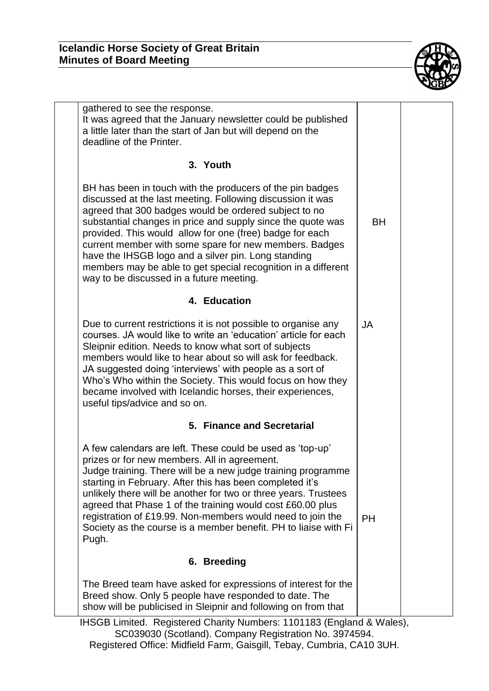

| gathered to see the response.<br>It was agreed that the January newsletter could be published<br>a little later than the start of Jan but will depend on the<br>deadline of the Printer.                                                                                                                                                                                                                                                                                                                                                  |           |  |
|-------------------------------------------------------------------------------------------------------------------------------------------------------------------------------------------------------------------------------------------------------------------------------------------------------------------------------------------------------------------------------------------------------------------------------------------------------------------------------------------------------------------------------------------|-----------|--|
| 3. Youth                                                                                                                                                                                                                                                                                                                                                                                                                                                                                                                                  |           |  |
| BH has been in touch with the producers of the pin badges<br>discussed at the last meeting. Following discussion it was<br>agreed that 300 badges would be ordered subject to no<br>substantial changes in price and supply since the quote was<br>provided. This would allow for one (free) badge for each<br>current member with some spare for new members. Badges<br>have the IHSGB logo and a silver pin. Long standing<br>members may be able to get special recognition in a different<br>way to be discussed in a future meeting. | <b>BH</b> |  |
| 4. Education                                                                                                                                                                                                                                                                                                                                                                                                                                                                                                                              |           |  |
| Due to current restrictions it is not possible to organise any<br>courses. JA would like to write an 'education' article for each<br>Sleipnir edition. Needs to know what sort of subjects<br>members would like to hear about so will ask for feedback.<br>JA suggested doing 'interviews' with people as a sort of<br>Who's Who within the Society. This would focus on how they<br>became involved with Icelandic horses, their experiences,<br>useful tips/advice and so on.                                                          | <b>JA</b> |  |
| 5. Finance and Secretarial                                                                                                                                                                                                                                                                                                                                                                                                                                                                                                                |           |  |
| A few calendars are left. These could be used as 'top-up'<br>prizes or for new members. All in agreement.<br>Judge training. There will be a new judge training programme<br>starting in February. After this has been completed it's<br>unlikely there will be another for two or three years. Trustees<br>agreed that Phase 1 of the training would cost £60.00 plus<br>registration of £19.99. Non-members would need to join the<br>Society as the course is a member benefit. PH to liaise with Fi<br>Pugh.                          | <b>PH</b> |  |
| 6. Breeding                                                                                                                                                                                                                                                                                                                                                                                                                                                                                                                               |           |  |
| The Breed team have asked for expressions of interest for the<br>Breed show. Only 5 people have responded to date. The<br>show will be publicised in Sleipnir and following on from that                                                                                                                                                                                                                                                                                                                                                  |           |  |
|                                                                                                                                                                                                                                                                                                                                                                                                                                                                                                                                           |           |  |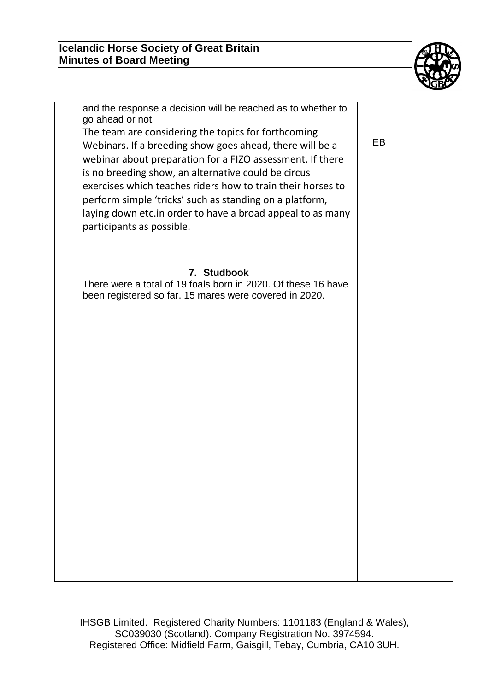

| and the response a decision will be reached as to whether to<br>go ahead or not.<br>The team are considering the topics for forthcoming<br>Webinars. If a breeding show goes ahead, there will be a<br>webinar about preparation for a FIZO assessment. If there<br>is no breeding show, an alternative could be circus<br>exercises which teaches riders how to train their horses to<br>perform simple 'tricks' such as standing on a platform,<br>laying down etc.in order to have a broad appeal to as many<br>participants as possible. | EB. |  |
|----------------------------------------------------------------------------------------------------------------------------------------------------------------------------------------------------------------------------------------------------------------------------------------------------------------------------------------------------------------------------------------------------------------------------------------------------------------------------------------------------------------------------------------------|-----|--|
| 7. Studbook                                                                                                                                                                                                                                                                                                                                                                                                                                                                                                                                  |     |  |
| There were a total of 19 foals born in 2020. Of these 16 have<br>been registered so far. 15 mares were covered in 2020.                                                                                                                                                                                                                                                                                                                                                                                                                      |     |  |
|                                                                                                                                                                                                                                                                                                                                                                                                                                                                                                                                              |     |  |
|                                                                                                                                                                                                                                                                                                                                                                                                                                                                                                                                              |     |  |
|                                                                                                                                                                                                                                                                                                                                                                                                                                                                                                                                              |     |  |
|                                                                                                                                                                                                                                                                                                                                                                                                                                                                                                                                              |     |  |
|                                                                                                                                                                                                                                                                                                                                                                                                                                                                                                                                              |     |  |
|                                                                                                                                                                                                                                                                                                                                                                                                                                                                                                                                              |     |  |
|                                                                                                                                                                                                                                                                                                                                                                                                                                                                                                                                              |     |  |
|                                                                                                                                                                                                                                                                                                                                                                                                                                                                                                                                              |     |  |
|                                                                                                                                                                                                                                                                                                                                                                                                                                                                                                                                              |     |  |
|                                                                                                                                                                                                                                                                                                                                                                                                                                                                                                                                              |     |  |